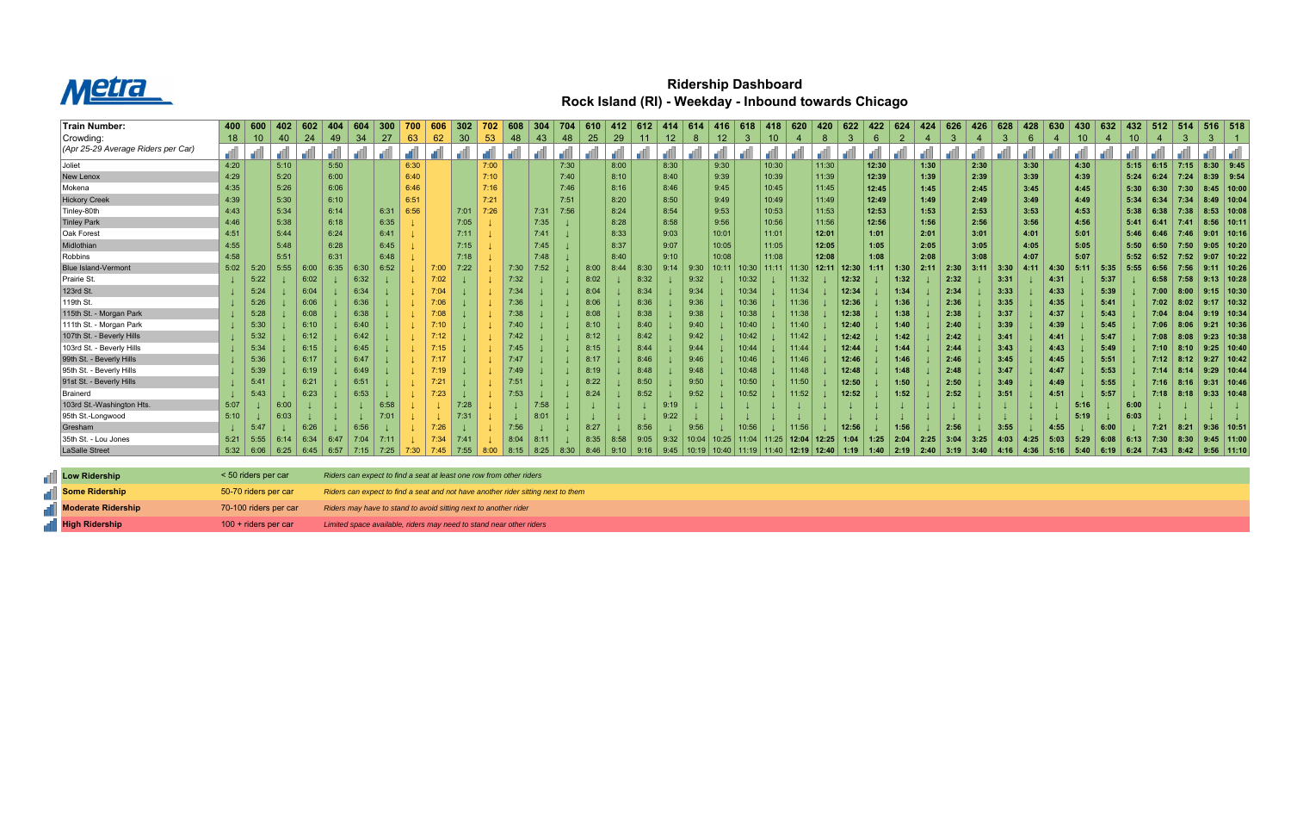

## **Ridership Dashboard Rock Island (RI) - Weekday - Inbound towards Chicago**

| Train Number:                      | 400                                                                                        | 600         | 402  | 602  | 404  | 604  | 300  |      | 606  | 302  | 702  | 608  | 304  | 704  | 610  | 412  | 612  | 414  | -614  | 416   | 618   | 418             | 620                                   | 420   | 622   | 422   | 624            | 424  | 626  | 426  | 628  | 428  | 630  | 430  | 632  | 432  | 512  | 514         | $516$ 518 |                |
|------------------------------------|--------------------------------------------------------------------------------------------|-------------|------|------|------|------|------|------|------|------|------|------|------|------|------|------|------|------|-------|-------|-------|-----------------|---------------------------------------|-------|-------|-------|----------------|------|------|------|------|------|------|------|------|------|------|-------------|-----------|----------------|
| Crowding:                          | 18                                                                                         | 10          | 40   | 24   | 49   | 34   | 27   | 63   | 62   | 30   | 53   | 48   | 43   | 48   | 25   | 29   | 11   | 12.  | 8     | 12    | 3     | 10 <sub>1</sub> |                                       | 8     |       | 6     | $\overline{2}$ |      | 3    |      | 3    | 6    |      |      |      | 10   | 4    | 3           | 3         |                |
| (Apr 25-29 Average Riders per Car) |                                                                                            |             |      |      |      |      |      |      |      |      |      |      |      |      |      |      |      |      |       |       |       |                 |                                       |       |       |       |                |      |      |      |      |      |      |      |      |      |      |             |           |                |
| Joliet                             | 4:20                                                                                       |             | 5:10 |      | 5:50 |      |      | 6:30 |      |      | 7:00 |      |      | 7:30 |      | 8:00 |      | 8:30 |       | 9:30  |       | 10:30           |                                       | 11:30 |       | 12:30 |                | 1:30 |      | 2:30 |      | 3:30 |      | 4:30 |      | 5:15 |      | $6:15$ 7:15 |           | $8:30$ 9:45    |
| New Lenox                          | 4:29                                                                                       |             | 5:20 |      | 6:00 |      |      | 6:40 |      |      | 7:10 |      |      | 7:40 |      | 8:10 |      | 8:40 |       | 9:39  |       | 10:39           |                                       | 11:39 |       | 12:39 |                | 1:39 |      | 2:39 |      | 3:39 |      | 4:39 |      | 5:24 | 6:24 | 7:24        |           | $8:39$ 9:54    |
| Mokena                             | 4:35                                                                                       |             | 5:26 |      | 6:06 |      |      | 6:46 |      |      | 7:16 |      |      | 7:46 |      | 8:16 |      | 8:46 |       | 9:45  |       | 10:45           |                                       | 11:45 |       | 12:45 |                | 1:45 |      | 2:45 |      | 3:45 |      | 4:45 |      | 5:30 | 6:30 | 7:30        |           | $8:45$   10:00 |
| <b>Hickory Creek</b>               | 4:39                                                                                       |             | 5:30 |      | 6:10 |      |      | 6:51 |      |      | 7:21 |      |      | 7:51 |      | 8:20 |      | 8:50 |       | 9:49  |       | 10:49           |                                       | 11:49 |       | 12:49 |                | 1:49 |      | 2:49 |      | 3:49 |      | 4:49 |      | 5:34 | 6:34 | 7:34        |           | $8:49$   10:04 |
| Tinley-80th                        | 4:43                                                                                       |             | 5:34 |      | 6:14 |      | 6:31 | 6:56 |      | 7:01 | 7:26 |      | 7:31 | 7:56 |      | 8:24 |      | 8:54 |       | 9:53  |       | 10:53           |                                       | 11:53 |       | 12:53 |                | 1:53 |      | 2:53 |      | 3:53 |      | 4:53 |      | 5:38 | 6:38 | 7:38        | 8:53      | 10:08          |
| Tinley Park                        | 4:46                                                                                       |             | 5:38 |      | 6:18 |      | 6:35 |      |      | 7:05 | U.   |      | 7:35 |      |      | 8:28 |      | 8:58 |       | 9:56  |       | 10:56           |                                       | 11:56 |       | 12:56 |                | 1:56 |      | 2:56 |      | 3:56 |      | 4:56 |      | 5:41 | 6:41 | 7:41        | 8:56      | 10:11          |
| Oak Forest                         | 4:51                                                                                       |             | 5:44 |      | 6:24 |      | 6:41 |      |      | 7:11 |      |      | 7:41 |      |      | 8:33 |      | 9:03 |       | 10:01 |       | 11:01           |                                       | 12:01 |       | 1:01  |                | 2:01 |      | 3:01 |      | 4:01 |      | 5:01 |      | 5:46 | 6:46 | 7:46        | 9:01      | 10:16          |
| Midlothian                         | 4:55                                                                                       |             | 5:48 |      | 6:28 |      | 6:45 |      |      | 7:15 |      |      | 7:45 |      |      | 8:37 |      | 9:07 |       | 10:05 |       | 11:05           |                                       | 12:05 |       | 1:05  |                | 2:05 |      | 3:05 |      | 4:05 |      | 5:05 |      | 5:50 | 6:50 | 7:50        | 9:05      | 10:20          |
| Robbins                            | 4:58                                                                                       |             | 5:51 |      | 6:31 |      | 6:48 |      |      | 7:18 |      |      | 7:48 |      |      | 8:40 |      | 9:10 |       | 10:08 |       | 11:08           |                                       | 12:08 |       | 1:08  |                | 2:08 |      | 3:08 |      | 4:07 |      | 5:07 |      | 5:52 | 6:52 | 7:52        | 9:07      | 10:22          |
| <b>Blue Island-Vermont</b>         | 5:02                                                                                       | 5:20        | 5:55 | 6:00 | 6:35 | 6:30 | 6:52 |      | 7:00 | 7:22 |      | 7:30 | 7:52 |      | 8:00 | 8:44 | 8:30 | 9:14 | 9:30  | 10:11 | 10:30 |                 | $11:11$ 11:30                         | 12:11 | 12:30 | 1:11  | 1:30           | 2:11 | 2:30 | 3:11 | 3:30 | 4:11 | 4:30 | 5:11 | 5:35 | 5:55 | 6:56 | 7:56        | 9:11      | 10:26          |
| Prairie St.                        |                                                                                            | 5:22        |      | 6:02 |      | 6:32 |      |      | 7:02 |      |      | 7:32 |      |      | 8:02 |      | 8:32 |      | 9:32  |       | 10:32 |                 | 11:32                                 |       | 12:32 |       | 1:32           |      | 2:32 |      | 3:31 |      | 4:31 |      | 5:37 |      | 6:58 | 7:58        |           | $9:13$   10:28 |
| 123rd St.                          |                                                                                            | 5:24        |      | 6:04 |      | 6:34 |      |      |      |      |      | 7:34 |      |      | 8:04 |      | 8:34 |      | 9:34  |       | 10:34 |                 | 11:34                                 |       | 12:34 |       | 1:34           |      | 2:34 |      | 3:33 |      | 4:33 |      | 5:39 |      | 7:00 | 8:00        |           | $9:15$ 10:30   |
| 119th St.                          |                                                                                            | 5:26        |      | 6:06 |      | 6:36 |      |      | 7:06 |      |      | 7:36 |      |      | 8:06 |      | 8:36 |      | 9:36  |       | 10:36 |                 | 11:36                                 |       | 12:36 |       | 1:36           |      | 2:36 |      | 3:35 |      | 4:35 |      | 5:41 |      | 7:02 | 8:02        | 9:17      | 10:32          |
| 115th St. - Morgan Park            |                                                                                            | 5:28        |      | 6:08 |      | 6:38 |      |      |      |      |      | 7:38 |      |      | 8:08 |      | 8:38 |      | 9:38  |       | 10:38 |                 | 11:38                                 |       | 12:38 |       | 1:38           |      | 2:38 |      | 3:37 |      | 4:37 |      | 5:43 |      | 7:04 | 8:04        |           | $9:19$   10:34 |
| 111th St. - Morgan Park            |                                                                                            | 5:30        |      | 6:10 |      | 6:40 |      |      |      |      |      | 7:40 |      |      | 8:10 |      | 8:40 |      | 9:40  |       | 10:40 |                 | 11:40                                 |       | 12:40 |       | 1:40           |      | 2:40 |      | 3:39 |      | 4:39 |      | 5:45 |      | 7:06 | 8:06        | 9:21      | 10:36          |
| 107th St. - Beverly Hills          |                                                                                            | 5:32        |      | 6:12 |      | 6:42 |      |      | 7:12 |      |      | 7:42 |      |      | 8:12 |      | 8:42 |      | 9:42  |       | 10:42 |                 | 11:42                                 |       | 12:42 |       | 1:42           |      | 2:42 |      | 3:41 |      | 4:41 |      | 5:47 |      | 7:08 | 8:08        |           | $9:23$   10:38 |
| 103rd St. - Beverly Hills          |                                                                                            | 5:34        |      | 6:15 |      | 6:45 |      |      |      |      |      | 7:45 |      |      | 8:15 |      | 8:44 |      | 9:44  |       | 10:44 |                 | 11:44                                 |       | 12:44 |       | 1:44           |      | 2:44 |      | 3:43 |      | 4:43 |      | 5:49 |      | 7:10 | 8:10        |           | $9:25$ 10:40   |
| 99th St. - Beverly Hills           |                                                                                            | 5:36        |      | 6:17 |      | 6:47 |      |      |      |      |      | 7:47 |      |      | 8:17 |      | 8:46 |      | 9:46  |       | 10:46 |                 | 11:46                                 |       | 12:46 |       | 1:46           |      | 2:46 |      | 3:45 |      | 4:45 |      | 5:51 |      | 7:12 | 8:12        | 9:27      | 10:42          |
| 95th St. - Beverly Hills           |                                                                                            | 5:39        |      | 6:19 |      | 6:49 |      |      |      |      |      | 7:49 |      |      | 8:19 |      | 8:48 |      | 9:48  |       | 10:48 |                 | 11:48                                 |       | 12:48 |       | 1:48           |      | 2:48 |      | 3:47 |      | 4:47 |      | 5:53 |      | 7:14 |             |           | $9:29$   10:44 |
| 91st St. - Beverly Hills           |                                                                                            | 5:41        |      | 6:21 |      | 6:51 |      |      | 7:21 |      |      | 7:51 |      |      | 8:22 |      | 8:50 |      | 9:50  |       | 10:50 |                 | 11:50                                 |       | 12:50 |       | 1:50           |      | 2:50 |      | 3:49 |      | 4:49 |      | 5:55 |      | 7:16 | 8:16        | 9:31      | 10:46          |
| Brainerd                           |                                                                                            | 5:43        |      | 6:23 |      | 6:53 |      |      | 7:23 |      |      | 7:53 |      |      | 8:24 |      | 8:52 |      | 9:52  |       | 10:52 |                 | 11:52                                 |       | 12:52 |       | 1:52           |      | 2:52 |      | 3:51 |      | 4:51 |      | 5:57 |      | 7:18 | 8:18        |           | $9:33$   10:48 |
| 103rd St.-Washington Hts.          | 5:07                                                                                       |             | 6:00 |      |      |      | 6:58 |      |      | 7:28 |      |      | 7:58 |      |      |      |      |      |       |       |       |                 |                                       |       |       |       |                |      |      |      |      |      |      | 5:16 |      | 6:00 |      |             |           |                |
| 95th St.-Longwood                  | 5:10                                                                                       |             | 6:03 |      |      |      | 7:01 |      |      | 7:31 |      |      | 8:0' |      |      |      |      | 9:22 |       |       |       |                 |                                       |       |       |       |                |      |      |      |      |      |      | 5:19 |      | 6:03 |      |             |           |                |
| Gresham                            |                                                                                            | 5:47        |      | 6:26 |      | 6:56 |      |      | 7:26 |      |      | 7:56 |      |      | 8:27 |      | 8:56 |      | 9:56  |       | 10:56 |                 | 11:56                                 |       | 12:56 |       | 1:56           |      | 2:56 |      | 3:55 |      | 4:55 |      | 6:00 |      | 7:21 | 8:21        |           | $9:36$   10:51 |
| 35th St. - Lou Jones               | 5:21                                                                                       | 5:55        | 6:14 | 6:34 | 6:47 | 7:04 |      |      | 7:34 | 7:41 |      | 8:04 | 8:11 |      | 8:35 | 8:58 | 9:05 | 9:32 | 10:04 | 10:25 | 11:04 | 11:25           | 12:04                                 | 12:25 | 1:04  | 1:25  | 2:04           | 2:25 | 3:04 | 3:25 | 4:03 | 4:25 | 5:03 | 5:29 | 6:08 | 6:13 | 7:30 | 8:30        |           | $9:45$ 11:00   |
| LaSalle Street                     |                                                                                            | $5:32$ 6:06 | 6:25 | 6:45 | 6:57 | 7:15 | 7:25 |      | 7:45 | 7:55 | 8:00 | 8:15 | 8:25 | 8:30 | 8:46 | 9:10 | 9:16 | 9:45 | 10:19 |       |       |                 | 10:40   11:19   11:40   12:19   12:40 |       | 1:19  | 1:40  | 2:19           | 2:40 | 3:19 | 3:40 | 4:16 | 4:36 | 5:16 | 5:40 | 6:19 | 6:24 | 7:43 | 8:42        |           | $9:56$   11:10 |
| <b>Low Ridership</b>               | < 50 riders per car<br>Riders can expect to find a seat at least one row from other riders |             |      |      |      |      |      |      |      |      |      |      |      |      |      |      |      |      |       |       |       |                 |                                       |       |       |       |                |      |      |      |      |      |      |      |      |      |      |             |           |                |

| <b>Low Ridership</b>  | < 50 riders per car    | Riders can expect to find a seat at least one row from other riders              |
|-----------------------|------------------------|----------------------------------------------------------------------------------|
| <b>Some Ridership</b> | 50-70 riders per car   | Riders can expect to find a seat and not have another rider sitting next to them |
| Moderate Ridership    | 70-100 riders per car  | Riders may have to stand to avoid sitting next to another rider                  |
| <b>High Ridership</b> | $100 +$ riders per car | Limited space available, riders may need to stand near other riders              |